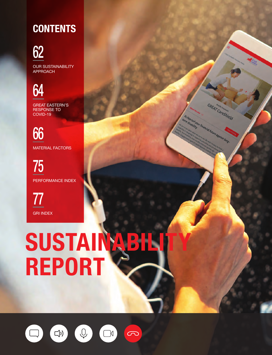# **CONTENTS**

62

OUR SUSTAINABILITY APPROACH

64

GREAT EASTERN'S RESPONSE TO COVID-19

66 MATERIAL FACTORS

75 PERFORMANCE INDEX

77 GRI INDEX

# SUSTAINABILITY REPORT

**GREAT CareShield** 

**Carlistics of Financial Future against long-**<br>Compliability financial future against long-

term disability

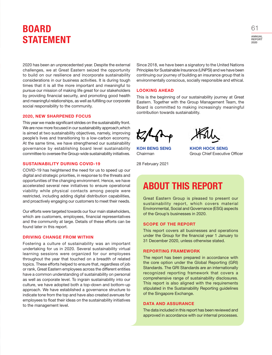### BOARD STATEMENT

2020 has been an unprecedented year. Despite the external challenges, we at Great Eastern seized the opportunity to build on our resilience and incorporate sustainability considerations in our business activities. It is during tough times that it is all the more important and meaningful to pursue our mission of making life great for our stakeholders by providing financial security, and promoting good health and meaningful relationships, as well as fulfilling our corporate social responsibility to the community.

#### 2020, NEW SHARPENED FOCUS

This year we made significant strides on the sustainability front. We are now more focused in our sustainability approach,which is aimed at two sustainability objectives, namely, improving people's lives and transitioning to a low-carbon economy. At the same time, we have strengthened our sustainability governance by establishing board level sustainability committee to oversee the Group-wide sustainability initiatives.

#### SUSTAINABILITY DURING COVID-19

COVID-19 has heightened the need for us to speed up our digital and strategic priorities, in response to the threats and opportunities of the changing environment. Hence, we have accelerated several new initiatives to ensure operational viability while physical contacts among people were restricted, including adding digital distribution capabilities, and proactively engaging our customers to meet their needs.

Our efforts were targeted towards our four main stakeholders, which are customers, employees, financial representatives and the community at large. Details of these efforts can be found later in this report.

#### DRIVING CHANGE FROM WITHIN

Fostering a culture of sustainability was an important undertaking for us in 2020. Several sustainability virtual learning sessions were organized for our employees throughout the year that touched on a breadth of related topics. These efforts helped to ensure that, regardless of job or rank, Great Eastern employees across the different entities have a common understanding of sustainability on personal as well as corporate level. To ingrain sustainability into our culture, we have adopted both a top-down and bottom-up approach. We have established a governance structure to indicate tone from the top and have also created avenues for employees to float their ideas on the sustainability initiatives to the management level.

Since 2018, we have been a signatory to the United Nations Principles for Sustainable Insurance (UNPSI) and we have been continuing our journey of building an insurance group that is environmentally conscious, socially responsible and ethical.

#### LOOKING AHEAD

This is the beginning of our sustainability journey at Great Eastern. Together with the Group Management Team, the Board is committed to making increasingly meaningful contribution towards sustainability.

28 February 2021

KOH BENG SENG KHOR HOCK SENG Chairman Group Chief Executive Officer

### ABOUT THIS REPORT

Great Eastern Group is pleased to present our sustainability report, which covers material Environmental, Social and Governance (ESG) aspects of the Group's businesses in 2020.

#### SCOPE OF THE REPORT

This report covers all businesses and operations under the Group for the financial year 1 January to 31 December 2020, unless otherwise stated.

#### REPORTING FRAMEWORK

The report has been prepared in accordance with the core option under the Global Reporting (GRI) Standards. The GRI Standards are an internationally recognized reporting framework that covers a comprehensive range of sustainability disclosures. This report is also aligned with the requirements stipulated in the Sustainability Reporting guidelines of the Singapore Exchange.

#### DATA AND ASSURANCE

The data included in this report has been reviewed and approved in accordance with our internal processes.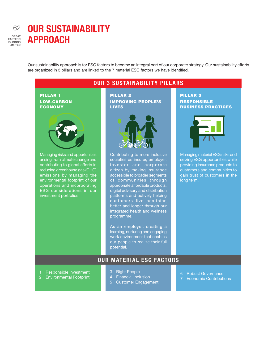### OUR SUSTAINABILITY APPROACH

Our sustainability approach is for ESG factors to become an integral part of our corporate strategy. Our sustainability efforts are organized in 3 pillars and are linked to the 7 material ESG factors we have identified.

#### PILLAR 1 LOW-CARBON ECONOMY Managing risks and opportunities arising from climate change and contributing to global efforts in reducing greenhouse gas (GHG) emissions by managing the environmental footprint of our operations and incorporating ESG considerations in our investment portfolios. PILLAR 2 IMPROVING PEOPLE'S LIVES Contributing to more inclusive societies as insurer, employer, investor and corporate citizen by making insurance accessible to broader segments of communities through appropriate affordable products, digital advisory and distribution platforms and actively helping customers live healthier, better and longer through our integrated health and wellness programme. As an employer, creating a learning, nurturing and engaging work environment that enables our people to realize their full PILLAR 3 RESPONSIBLE BUSINESS PRACTICES Managing material ESG risks and seizing ESG opportunities while providing insurance products to customers and communities to gain trust of customers in the long term. OUR 3 SUSTAINABILITY PILLARS

### OUR MATERIAL ESG FACTORS

- 1 Responsible Investment
- 2 Environmental Footprint
- 3 Right People
- 4 Financial Inclusion
- 5 Customer Engagement
- 6 Robust Governance
- 7 Economic Contributions

potential.

GREAT EASTERN HOLDINGS LIMITED 62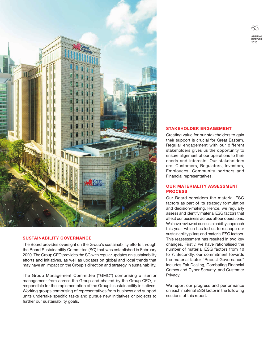

#### SUSTAINABILITY GOVERNANCE

The Board provides oversight on the Group's sustainability efforts through the Board Sustainability Committee (SC) that was established in February 2020. The Group CEO provides the SC with regular updates on sustainability efforts and initiatives, as well as updates on global and local trends that may have an impact on the Group's direction and strategy in sustainability.

The Group Management Committee ("GMC") comprising of senior management from across the Group and chaired by the Group CEO, is responsible for the implementation of the Group's sustainability initiatives. Working groups comprising of representatives from business and support units undertake specific tasks and pursue new initiatives or projects to further our sustainability goals.

#### STAKEHOLDER ENGAGEMENT

Creating value for our stakeholders to gain their support is crucial for Great Eastern. Regular engagement with our different stakeholders gives us the opportunity to ensure alignment of our operations to their needs and interests. Our stakeholders are: Customers, Regulators, Investors, Employees, Community partners and Financial representatives.

#### OUR MATERIALITY ASSESSMENT PROCESS

Our Board considers the material ESG factors as part of its strategy formulation and decision-making. Hence, we regularly assess and identify material ESG factors that affect our business across all our operations. We have reviewed our sustainability approach this year, which has led us to reshape our sustainability pillars and material ESG factors. This reassessment has resulted in two key changes. Firstly, we have rationalised the number of material ESG factors from 10 to 7. Secondly, our commitment towards the material factor "Robust Governance" includes Fair Dealing, Combating Financial Crimes and Cyber Security, and Customer Privacy.

We report our progress and performance on each material ESG factor in the following sections of this report.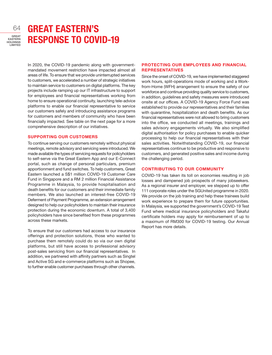

## GREAT EASTERN'S RESPONSE TO COVID-19

In 2020, the COVID-19 pandemic along with governmentmandated movement restriction have impacted almost all areas of life. To ensure that we provide uninterrupted services to customers, we accelerated a number of strategic initiatives to maintain service to customers on digital platforms. The key projects include ramping up our IT infrastructure to support for employees and financial representatives working from home to ensure operational continuity, launching tele-advice platforms to enable our financial representative to service our customers safely and introducing assistance programs for customers and members of community who have been financially impacted. See table on the next page for a more comprehensive description of our initiatives.

#### SUPPORTING OUR CUSTOMERS

To continue serving our customers remotely without physical meetings, remote advisory and servicing were introduced. We made available the types of servicing requests for policyholders to self-serve via the Great Eastern App and our E-Connect portal, such as change of personal particulars, premium apportionment and fund switches. To help customers, Great Eastern launched a S\$1 million COVID-19 Customer Care Fund in Singapore and a RM 2 million Financial Assistance Programme in Malaysia, to provide hospitalisation and death benefits for our customers and their immediate family members. We also launched an interest-free COVID-19 Deferment of Payment Programme, an extension arrangement designed to help our policyholders to maintain their insurance protection during the economic downturn. A total of 3,400 policyholders have since benefited from these programmes across these markets.

To ensure that our customers had access to our insurance offerings and protection solutions, those who wanted to purchase them remotely could do so via our own digital platforms, but still have access to professional advisory post-sales servicing from our financial representatives. In addition, we partnered with affinity partners such as Singtel and Active SG and e-commerce platforms such as Shopee, to further enable customer purchases through other channels.

#### PROTECTING OUR EMPLOYEES AND FINANCIAL **REPRESENTATIVES**

Since the onset of COVID-19, we have implemented staggered work hours, split-operations mode of working and a Workfrom-Home (WFH) arrangement to ensure the safety of our workforce and continue providing quality service to customers, in addition, guidelines and safety measures were introduced onsite at our offices. A COVID-19 Agency Force Fund was established to provide our representatives and their families with quarantine, hospitalization and death benefits. As our financial representatives were not allowed to bring customers into the office, we conducted all meetings, trainings and sales advisory engagements virtually. We also simplified digital authorisation for policy purchases to enable quicker processing to help our financial representatives with their sales activities. Notwithstanding COVID-19, our financial representatives continue to be productive and responsive to customers, and generated positive sales and income during the challenging period.

#### CONTRIBUTING TO OUR COMMUNITY

COVID-19 has taken its toll on economies resulting in job losses and dampened job prospects of many jobseekers. As a regional insurer and employer, we stepped up to offer 111 corporate roles under the SGUnited programme in 2020. We provide on the job training and help these trainees build work experience to prepare them for future opportunities. In Malaysia, we supported the government's COVID-19 Test Fund where medical insurance policyholders and Takaful certificate holders may apply for reimbursement of up to a maximum of RM300 for COVID-19 testing. Our Annual Report has more details.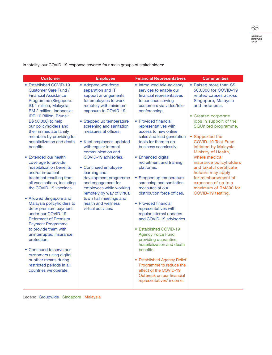In totality, our COVID-19 response covered four main groups of stakeholders:

| <b>Customer</b>                                                                                                                                                                                                                                                                                                                                                                                                        | <b>Employee</b>                                                                                                                                                                                                                              | <b>Financial Representatives</b>                                                                                                                                                                                                                                                                                                                                                           | <b>Communities</b>                                                                                                                                                                   |
|------------------------------------------------------------------------------------------------------------------------------------------------------------------------------------------------------------------------------------------------------------------------------------------------------------------------------------------------------------------------------------------------------------------------|----------------------------------------------------------------------------------------------------------------------------------------------------------------------------------------------------------------------------------------------|--------------------------------------------------------------------------------------------------------------------------------------------------------------------------------------------------------------------------------------------------------------------------------------------------------------------------------------------------------------------------------------------|--------------------------------------------------------------------------------------------------------------------------------------------------------------------------------------|
| • Established COVID-19<br><b>Customer Care Fund /</b><br><b>Financial Assistance</b><br>Programme (Singapore:<br>S\$ 1 million, Malaysia:<br>RM 2 million, Indonesia:<br>IDR 10 Billion, Brunei:                                                                                                                                                                                                                       | • Adopted workforce<br>separation and IT<br>support arrangements<br>for employees to work<br>remotely with minimum<br>exposure to COVID-19.                                                                                                  | • Introduced tele-advisory<br>services to enable our<br>financial representatives<br>to continue serving<br>customers via video/tele-<br>conferencing.                                                                                                                                                                                                                                     | • Raised more than S\$<br>500,000 for COVID-19<br>related causes across<br>Singapore, Malaysia<br>and Indonesia.<br>• Created corporate                                              |
| B\$ 50,000) to help<br>our policyholders and<br>their immediate family<br>members by providing for<br>hospitalization and death<br>benefits.                                                                                                                                                                                                                                                                           | • Stepped up temperature<br>screening and sanitation<br>measures at offices.<br>• Kept employees updated<br>with regular internal<br>communication and                                                                                       | • Provided financial<br>representatives with<br>access to new online<br>sales and lead generation<br>tools for them to do<br>business seamlessly.                                                                                                                                                                                                                                          | jobs in support of the<br>SGUnited programme.<br>• Supported the<br><b>COVID-19 Test Fund</b><br>initiated by Malaysia<br>Ministry of Health,                                        |
| • Extended our health<br>coverage to provide<br>hospitalization benefits<br>and/or in-patient<br>treatment resulting from<br>all vaccinations, including<br>the COVID-19 vaccines.<br>• Allowed Singapore and<br>Malaysia policyholders to<br>defer premium payment<br>under our COVID-19<br><b>Deferment of Premium</b><br><b>Payment Programme</b><br>to provide them with<br>uninterrupted insurance<br>protection. | COVID-19 advisories.<br>• Continued employee<br>learning and<br>development programme<br>and engagement for<br>employees while working<br>remotely by way of virtual<br>town hall meetings and<br>health and wellness<br>virtual activities. | • Enhanced digital<br>recruitment and training<br>platforms.<br>• Stepped up temperature<br>screening and sanitation<br>measures at our<br>distribution force offices.<br>• Provided financial<br>representatives with<br>regular internal updates<br>and COVID-19 advisories.<br>• Established COVID-19<br><b>Agency Force Fund</b><br>providing quarantine,<br>hospitalization and death | where medical<br>insurance policyholders<br>and takaful certificate<br>holders may apply<br>for reimbursement of<br>expenses of up to a<br>maximum of RM300 for<br>COVID-19 testing. |
| • Continued to serve our<br>customers using digital<br>or other means during<br>restricted periods in all<br>countries we operate.                                                                                                                                                                                                                                                                                     |                                                                                                                                                                                                                                              | benefits.<br>• Established Agency Relief<br>Programme to reduce the<br>effect of the COVID-19<br>Outbreak on our financial<br>representatives' income.                                                                                                                                                                                                                                     |                                                                                                                                                                                      |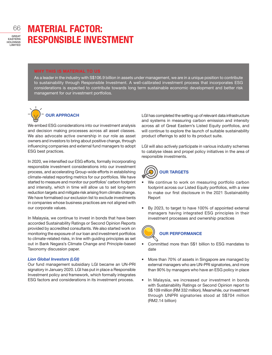### MATERIAL FACTOR: RESPONSIBLE INVESTMENT

#### WHY THIS IS MATERIAL TO US

As a leader in the industry with S\$106.9 billion in assets under management, we are in a unique position to contribute to sustainability through Responsible Investment. A well-calibrated investment process that incorporates ESG considerations is expected to contribute towards long term sustainable economic development and better risk management for our investment portfolios.



We embed ESG considerations into our investment analysis and decision making processes across all asset classes. We also advocate active ownership in our role as asset owners and investors to bring about positive change, through influencing companies and external fund managers to adopt ESG best practices.

In 2020, we intensified our ESG efforts, formally incorporating responsible investment considerations into our investment process, and accelerating Group-wide efforts in establishing climate-related reporting metrics for our portfolios. We have started to measure and monitor our portfolios' carbon footprint and intensity, which in time will allow us to set long-term reduction targets and mitigate risk arising from climate change. We have formalised our exclusion list to exclude investments in companies whose business practices are not aligned with our corporate values.

In Malaysia, we continue to invest in bonds that have been accorded Sustainability Ratings or Second Opinion Reports provided by accredited consultants. We also started work on monitoring the exposure of our loan and investment portfolios to climate-related risks, in line with guiding principles as set out in Bank Negara's Climate Change and Principle-based Taxonomy discussion paper.

#### *Lion Global Investors (LGI)*

Our fund management subsidiary LGI became an UN-PRI signatory in January 2020. LGI has put in place a Responsible Investment policy and framework, which formally integrates ESG factors and considerations in its investment process.

LGI has completed the setting up of relevant data infrastructure and systems in measuring carbon emission and intensity across all of Great Eastern's Listed Equity portfolios, and will continue to explore the launch of suitable sustainability product offerings to add to its product suite.

LGI will also actively participate in various industry schemes to catalyse ideas and propel policy initiatives in the area of responsible investments.



- We continue to work on measuring portfolio carbon footprint across our Listed Equity portfolios, with a view to make our first disclosure in the 2021 Sustainability Report
- By 2023, to target to have 100% of appointed external managers having integrated ESG principles in their investment processes and ownership practices



### OUR PERFORMANCE

- Committed more than S\$1 billion to ESG mandates to date
- More than 70% of assets in Singapore are managed by external managers who are UN-PRI signatories, and more than 90% by managers who have an ESG policy in place
- In Malaysia, we increased our investment in bonds with Sustainability Ratings or Second Opinion report to S\$ 109 million (RM 332 million). Meanwhile, our investment through UNPRI signatories stood at S\$704 million (RM2.14 billion)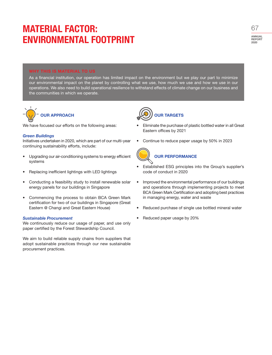# MATERIAL FACTOR: ENVIRONMENTAL FOOTPRINT

ANNUAL REPORT  $2020$ 67

#### WHY THIS IS MATERIAL TO US

As a financial institution, our operation has limited impact on the environment but we play our part to minimize our environmental impact on the planet by controlling what we use, how much we use and how we use in our operations. We also need to build operational resilience to withstand effects of climate change on our business and the communities in which we operate.



We have focused our efforts on the following areas:

#### *Green Buildings*

Initiatives undertaken in 2020, which are part of our multi-year continuing sustainability efforts, include:

- Upgrading our air-conditioning systems to energy efficient systems
- Replacing inefficient lightings with LED lightings
- Conducting a feasibility study to install renewable solar energy panels for our buildings in Singapore
- Commencing the process to obtain BCA Green Mark certification for two of our buildings in Singapore (Great Eastern @ Changi and Great Eastern House)

#### *Sustainable Procurement*

We continuously reduce our usage of paper, and use only paper certified by the Forest Stewardship Council.

We aim to build reliable supply chains from suppliers that adopt sustainable practices through our new sustainable procurement practices.



- Eliminate the purchase of plastic bottled water in all Great Eastern offices by 2021
- Continue to reduce paper usage by 50% in 2023



### OUR PERFORMANCE

- Established ESG principles into the Group's supplier's code of conduct in 2020
- Improved the environmental performance of our buildings and operations through implementing projects to meet BCA Green Mark Certification and adopting best practices in managing energy, water and waste
- Reduced purchase of single use bottled mineral water
- Reduced paper usage by 20%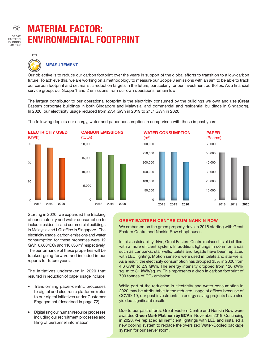GREAT EASTERN HOLDINGS LIMITED 68

# MATERIAL FACTOR: ENVIRONMENTAL FOOTPRINT



### MEASUREMENT

Our objective is to reduce our carbon footprint over the years in support of the global efforts to transition to a low-carbon future. To achieve this, we are working on a methodology to measure our Scope 3 emissions with an aim to be able to track our carbon footprint and set realistic reduction targets in the future, particularly for our investment portfolios. As a financial service group, our Scope 1 and 2 emissions from our own operations remain low.

The largest contributor to our operational footprint is the electricity consumed by the buildings we own and use (Great Eastern corporate buildings in both Singapore and Malaysia, and commercial and residential buildings in Singapore). In 2020, our electricity usage reduced from 27.4 GWh in 2019 to 21.7 GWh in 2020.





CARBON EMISSIONS

WATER CONSUMPTION  $(m<sup>3</sup>)$ PAPER (Reams) 60,000 50,000 40,000 30,000 20,000 10,000  $\Omega$ 300,000 250,000 200,000 150,000 100,000 50,000  $\Omega$ 

Starting in 2020, we expanded the tracking of our electricity and water consumption to include residential and commercial buildings in Malaysia and LGI office in Singapore. The electricity usage, carbon emissions and water consumption for these properties were 12 GWh,  $8,800$  tCO<sub>2</sub> and 116,836  $m<sup>3</sup>$  respectively. The performance of these properties will be tracked going forward and included in our reports for future years.

The initiatives undertaken in 2020 that resulted in reduction of paper usage include:

- Transforming paper-centric processes to digital and electronic platforms (refer to our digital initiatives under Customer Engagement (described in page 72)
- Digitalising our human resource processes including our recruitment processes and filing of personnel information

#### GREAT EASTERN CENTRE CUM NANKIN ROW

We embarked on the green property drive in 2018 starting with Great Eastern Centre and Nankin Row shophouses.

In this sustainability drive, Great Eastern Centre replaced its old chillers with a more efficient system. In addition, lightings in common areas such as car parks, stairwells, toilets and façade have been replaced with LED lighting. Motion sensors were used in toilets and stairwells. As a result, the electricity consumption has dropped 35% in 2020 from 4.6 GWh to 2.9 GWh. The energy intensity dropped from 126 kWh/ sq. m to 81 kWh/sq. m. This represents a drop in carbon footprint of 700 tonnes of  $CO<sub>2</sub>$  emission.

While part of the reduction in electricity and water consumption in 2020 may be attributable to the reduced usage of offices because of COVID-19, our past investments in energy saving projects have also yielded significant results.

Due to our past efforts, Great Eastern Centre and Nankin Row were awarded Green Mark Platinum by BCA in November 2019. Continuing in 2020, we replaced all inefficient lightings with LED and installed a new cooling system to replace the oversized Water-Cooled package system for our server room.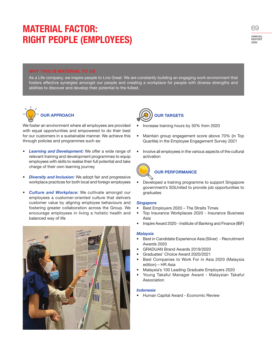### MATERIAL FACTOR: RIGHT PEOPLE (EMPLOYEES)

#### WHY THIS IS MATERIAL TO US

As a Life company, we inspire people to Live Great. We are constantly building an engaging work environment that fosters effective synergies amongst our people and creating a workplace for people with diverse strengths and abilities to discover and develop their potential to the fullest.



We foster an environment where all employees are provided with equal opportunities and empowered to do their best for our customers in a sustainable manner. We achieve this through policies and programmes such as:

- **Learning and Development:** We offer a wide range of relevant training and development programmes to equip employees with skills to realise their full potential and take charge of their own learning journey
- *Diversity and Inclusion:* We adopt fair and progressive workplace practices for both local and foreign employees
- *Culture and Workplace:* We cultivate amongst our employees a customer-oriented culture that delivers customer value by aligning employee behaviours and fostering greater collaboration across the Group. We encourage employees in living a holistic health and balanced way of life





- Increase training hours by 30% from 2020
- Maintain group engagement score above 70% (in Top Quartile) in the Employee Engagement Survey 2021
- Involve all employees in the various aspects of the cultural activation



### OUR PERFORMANCE

• Developed a training programme to support Singapore government's SGUnited to provide job opportunities to graduates

#### *Singapore*

- Best Employers 2020 The Straits Times
- Top Insurance Workplaces 2020 Insurance Business Asia
- Inspire Award 2020 Institute of Banking and Finance (IBF)

#### *Malaysia*

- Best in Candidate Experience Asia (Silver) Recruitment Awards 2020
- GRADUAN Brand Awards 2019/2020
- Graduates' Choice Award 2020/2021
- Best Companies to Work For in Asia 2020 (Malaysia edition) – HR Asia
- Malaysia's 100 Leading Graduate Employers 2020
- Young Takaful Manager Award Malaysian Takaful Association

#### *Indonesia*

• Human Capital Award - Economic Review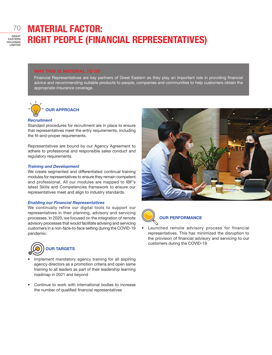# MATERIAL FACTOR: RIGHT PEOPLE (FINANCIAL REPRESENTATIVES)

#### WHY THIS IS MATERIAL TO US

Financial Representatives are key partners of Great Eastern as they play an important role in providing financial advice and recommending suitable products to people, companies and communities to help customers obtain the appropriate insurance coverage.



#### *Recruitment*

Standard procedures for recruitment are in place to ensure that representatives meet the entry requirements, including the fit-and-proper requirements.

Representatives are bound by our Agency Agreement to adhere to professional and responsible sales conduct and regulatory requirements.

#### *Training and Development*

We create segmented and differentiated continual training modules for representatives to ensure they remain competent and professional. All our modules are mapped to IBF's latest Skills and Competencies framework to ensure our representatives meet and align to industry standards.

#### *Enabling our Financial Representatives*

We continually refine our digital tools to support our representatives in their planning, advisory and servicing processes. In 2020, we focused on the integration of remote advisory processes that would facilitate advising and servicing customers in a non-face-to-face setting during the COVID-19 pandemic.



- Implement mandatory agency training for all aspiring agency directors as a promotion criteria and open same training to all leaders as part of their leadership learning roadmap in 2021 and beyond
- Continue to work with international bodies to increase the number of qualified financial representatives





### OUR PERFORMANCE

Launched remote advisory process for financial representatives. This has minimized the disruption to the provision of financial advisory and servicing to our customers during the COVID-19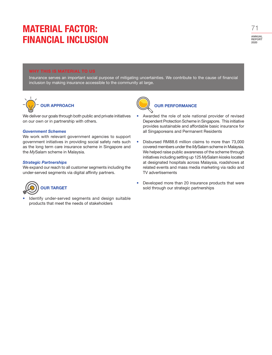# MATERIAL FACTOR: FINANCIAL INCLUSION

#### WHY THIS IS MATERIAL TO US

Insurance serves an important social purpose of mitigating uncertainties. We contribute to the cause of financial inclusion by making insurance accessible to the community at large.



We deliver our goals through both public and private initiatives on our own or in partnership with others.

#### *Government Schemes*

We work with relevant government agencies to support government initiatives in providing social safety nets such as the long term care insurance scheme in Singapore and the *My*Salam scheme in Malaysia.

#### *Strategic Partnerships*

We expand our reach to all customer segments including the under-served segments via digital affinity partners.



Identify under-served segments and design suitable products that meet the needs of stakeholders



### OUR PERFORMANCE

- Awarded the role of sole national provider of revised Dependent Protection Scheme in Singapore. This initiative provides sustainable and affordable basic insurance for all Singaporeans and Permanent Residents
- Disbursed RM88.6 million claims to more than 73,000 covered members under the *My*Salam scheme in Malaysia. We helped raise public awareness of the scheme through initiatives including setting up 125 *My*Salam kiosks located at designated hospitals across Malaysia, roadshows at related events and mass media marketing via radio and TV advertisements
- Developed more than 20 insurance products that were sold through our strategic partnerships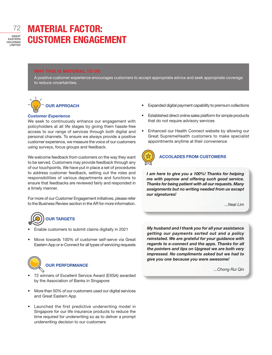# MATERIAL FACTOR: CUSTOMER ENGAGEMENT

#### WHY THIS IS MATERIAL TO US

A positive customer experience encourages customers to accept appropriate advice and seek appropriate coverage to reduce uncertainties.



#### *Customer Experience*

We seek to continuously enhance our engagement with policyholders at all life stages by giving them hassle-free access to our range of services through both digital and personal channels. To ensure we always provide a positive customer experience, we measure the voice of our customers using surveys, focus groups and feedback.

We welcome feedback from customers on the way they want to be served. Customers may provide feedback through any of our touchpoints. We have put in place a set of procedures to address customer feedback, setting out the roles and responsibilities of various departments and functions to ensure that feedbacks are reviewed fairly and responded in a timely manner.

For more of our Customer Engagement initiatives, please refer to the Business Review section in the AR for more information.

# OUR TARGETS

- Enable customers to submit claims digitally in 2021
- Move towards 100% of customer self-serve via Great Eastern App or e-Connect for all types of servicing requests



- 72 winners of Excellent Service Award (EXSA) awarded by the Association of Banks in Singapore
- More than 50% of our customers used our digital services and Great Eastern App
- Launched the first predictive underwriting model in Singapore for our life insurance products to reduce the time required for underwriting so as to deliver a prompt underwriting decision to our customers
- Expanded digital payment capability to premium collections
- Established direct online sales platform for simple products that do not require advisory services
- Enhanced our Health Connect website by allowing our Great SupremeHealth customers to make specialist appointments anytime at their convenience



### ACCOLADES FROM CUSTOMERS

*I am here to give you a 100%! Thanks for helping me with paynow and offering such good service. Thanks for being patient with all our requests. Many assignments but no writing needed from us except our signatures!*

*...Neal Lim*

*My husband and I thank you for all your assistance getting our payments sorted out and a policy reinstated. We are grateful for your guidance with regards to e-connect and the apps. Thanks for all the pointers and tips on Upgreat we are both very impressed. No compliments asked but we had to give you one because you were awesome!*

*...Chong Rui Qin*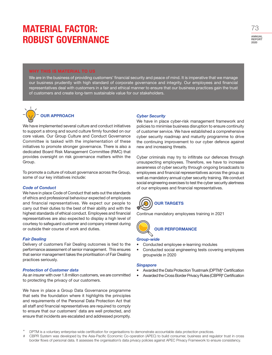## MATERIAL FACTOR: ROBUST GOVERNANCE

#### WHY THIS IS MATERIAL TO US

We are in the business of providing customers' financial security and peace of mind. It is imperative that we manage our business prudently with high standard of corporate governance and integrity. Our employees and financial representatives deal with customers in a fair and ethical manner to ensure that our business practices gain the trust of customers and create long-term sustainable value for our stakeholders.



We have implemented several culture and conduct initiatives to support a strong and sound culture firmly founded on our core values. Our Group Culture and Conduct Governance Committee is tasked with the implementation of these initiatives to promote stronger governance. There is also a dedicated Board Risk Management Committee (RMC) that provides oversight on risk governance matters within the Group.

To promote a culture of robust governance across the Group, some of our key initiatives include:

#### *Code of Conduct*

We have in place Code of Conduct that sets out the standards of ethics and professional behaviour expected of employees and financial representatives. We expect our people to carry out their duties to the best of their ability and with the highest standards of ethical conduct. Employees and financial representatives are also expected to display a high level of courtesy to safeguard customer and company interest during or outside their course of work and duties.

#### *Fair Dealing*

Delivery of customers Fair Dealing outcomes is tied to the performance assessment of senior management. This ensures that senior management takes the prioritisation of Fair Dealing practices seriously.

#### *Protection of Customer data*

As an insurer with over 1.8 million customers, we are committed to protecting the privacy of our customers.

We have in place a Group Data Governance programme that sets the foundation where it highlights the principles and requirements of the Personal Data Protection Act that all staff and financial representatives are required to comply to ensure that our customers' data are well protected, and ensure that incidents are escalated and addressed promptly.

#### *Cyber Security*

We have in place cyber-risk management framework and policies to minimise business disruption to ensure continuity of customer service. We have established a comprehensive cyber security roadmap and maturity programme to drive the continuing improvement to our cyber defence against new and increasing threats.

Cyber criminals may try to infiltrate our defences through unsuspecting employees. Therefore, we have to increase awareness of cyber security through ongoing broadcasts to employees and financial representatives across the group as well as mandatory annual cyber security training. We conduct social engineering exercises to test the cyber security alertness of our employees and financial representatives.



Continue mandatory employees training in 2021



#### *Group-wide*

- Conducted employee e-learning modules
- Conducted social engineering tests covering employees groupwide in 2020

#### *Singapore*

- Awarded the Data Protection Trustmark (DPTM)\* Certification
- Awarded the Cross Border Privacy Rules (CBPR)<sup>#</sup> Certification

DPTM is a voluntary enterprise-wide certification for organisations to demonstrate accountable data protection practices.

<sup>#</sup> CBPR System was developed by the Asia-Pacific Economic Co-operation (APEC) to build consumer, business and regulator trust in cross border flows of personal data. It assesses the organisation's data privacy policies against APEC Privacy Framework to ensure consistency.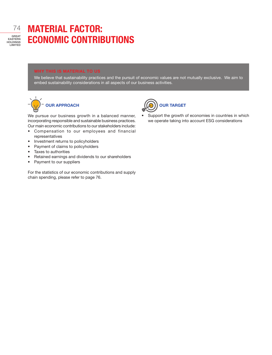# MATERIAL FACTOR: ECONOMIC CONTRIBUTIONS

#### WHY THIS IS MATERIAL TO US

We believe that sustainability practices and the pursuit of economic values are not mutually exclusive. We aim to embed sustainability considerations in all aspects of our business activities.



We pursue our business growth in a balanced manner, incorporating responsible and sustainable business practices. Our main economic contributions to our stakeholders include:

- Compensation to our employees and financial representatives
- Investment returns to policyholders
- Payment of claims to policyholders
- Taxes to authorities
- Retained earnings and dividends to our shareholders
- Payment to our suppliers

For the statistics of our economic contributions and supply chain spending, please refer to page 76.



• Support the growth of economies in countries in which we operate taking into account ESG considerations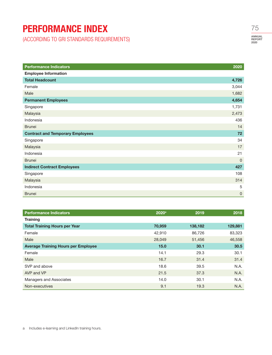### PERFORMANCE INDEX

(ACCORDING TO GRI STANDARDS REQUIREMENTS)

| <b>Performance Indicators</b>           | 2020           |
|-----------------------------------------|----------------|
| <b>Employee Information</b>             |                |
| <b>Total Headcount</b>                  | 4,726          |
| Female                                  | 3,044          |
| Male                                    | 1,682          |
| <b>Permanent Employees</b>              | 4,654          |
| Singapore                               | 1,731          |
| Malaysia                                | 2,473          |
| Indonesia                               | 436            |
| <b>Brunei</b>                           | 14             |
| <b>Contract and Temporary Employees</b> | 72             |
| Singapore                               | 34             |
| Malaysia                                | 17             |
| Indonesia                               | 21             |
| <b>Brunei</b>                           | $\overline{0}$ |
| <b>Indirect Contract Employees</b>      | 427            |
| Singapore                               | 108            |
| Malaysia                                | 314            |
| Indonesia                               | 5              |
| <b>Brunei</b>                           | 0              |

| <b>Performance Indicators</b>              | $2020$ <sup>a</sup> | 2019    | 2018    |
|--------------------------------------------|---------------------|---------|---------|
| <b>Training</b>                            |                     |         |         |
| <b>Total Training Hours per Year</b>       | 70,959              | 138,182 | 129,881 |
| Female                                     | 42,910              | 86,726  | 83,323  |
| Male                                       | 28,049              | 51,456  | 46,558  |
| <b>Average Training Hours per Employee</b> | 15.0                | 30.1    | 30.5    |
| Female                                     | 14.1                | 29.3    | 30.1    |
| Male                                       | 16.7                | 31.4    | 31.4    |
| SVP and above                              | 18.6                | 39.5    | N.A.    |
| AVP and VP                                 | 21.5                | 37.3    | N.A.    |
| Managers and Associates                    | 14.0                | 30.1    | N.A.    |
| Non-executives                             | 9.1                 | 19.3    | N.A.    |

ANNUAL REPORT 2020 75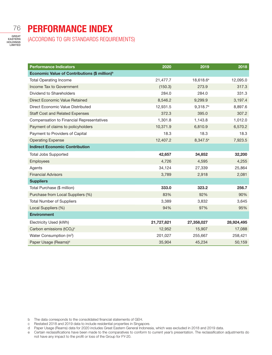### 76

EASTERN HOLDINGS LIMITED

### PERFORMANCE INDEX

(ACCORDING TO GRI STANDARDS REQUIREMENTS)

| <b>Performance Indicators</b>                             | 2020       | 2019                  | 2018       |
|-----------------------------------------------------------|------------|-----------------------|------------|
| Economic Value of Contributions (\$ million) <sup>b</sup> |            |                       |            |
| <b>Total Operating Income</b>                             | 21,477.7   | 18,618.6 <sup>e</sup> | 12,095.0   |
| Income Tax to Government                                  | (150.3)    | 273.9                 | 317.3      |
| Dividend to Shareholders                                  | 284.0      | 284.0                 | 331.3      |
| Direct Economic Value Retained                            | 8,546.2    | 9,299.9               | 3,197.4    |
| Direct Economic Value Distributed                         | 12,931.5   | 9,318.7°              | 8,897.6    |
| <b>Staff Cost and Related Expenses</b>                    | 372.3      | 395.0                 | 307.2      |
| <b>Compensation to Financial Representatives</b>          | 1,301.8    | 1,143.8               | 1,012.0    |
| Payment of claims to policyholders                        | 10,371.9   | 6,810.9               | 6,570.2    |
| Payment to Providers of Capital                           | 18.3       | 18.3                  | 18.3       |
| <b>Operating Expense</b>                                  | 12,407.2   | 8,347.5 <sup>e</sup>  | 7,923.5    |
| <b>Indirect Economic Contribution</b>                     |            |                       |            |
| <b>Total Jobs Supported</b>                               | 42,657     | 34,852                | 32,200     |
| Employees                                                 | 4,726      | 4,595                 | 4,255      |
| Agents                                                    | 34,124     | 27,339                | 25,864     |
| <b>Financial Advisors</b>                                 | 3,789      | 2,918                 | 2,081      |
| <b>Suppliers</b>                                          |            |                       |            |
| Total Purchase (\$ million)                               | 333.0      | 323.2                 | 256.7      |
| Purchase from Local Suppliers (%)                         | 83%        | 92%                   | 90%        |
| <b>Total Number of Suppliers</b>                          | 3,389      | 3,832                 | 3,645      |
| Local Suppliers (%)                                       | 94%        | 97%                   | 95%        |
| <b>Environment</b>                                        |            |                       |            |
| Electricity Used (kWh)                                    | 21,727,821 | 27,358,027            | 28,924,495 |
| Carbon emissions (tCO <sub>2</sub> ) <sup>c</sup>         | 12,952     | 15,907                | 17,088     |
| Water Consumption (m <sup>3</sup> )                       | 201,027    | 255,667               | 258,421    |
| Paper Usage (Reams) <sup>d</sup>                          | 35,904     | 45,234                | 50,159     |

- b The data corresponds to the consolidated financial statements of GEH.
- c Restated 2018 and 2019 data to include residential properties in Singapore.
- d Paper Usage (Reams) data for 2020 includes Great Eastern General Indonesia, which was excluded in 2018 and 2019 data.
- e Certain reclassifications have been made to the comparatives to conform to current year's presentation. The reclassification adjustments do not have any impact to the profit or loss of the Group for FY-20.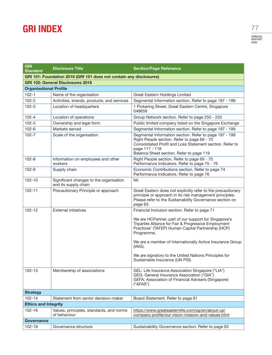### GRI INDEX

ANNUAL REPORT 2020 77

| <b>GRI</b><br><b>Standard</b>                                       | <b>Disclosure Title</b>                                         | <b>Section/Page Reference</b>                                                                                                                                                                                                   |  |
|---------------------------------------------------------------------|-----------------------------------------------------------------|---------------------------------------------------------------------------------------------------------------------------------------------------------------------------------------------------------------------------------|--|
| GRI 101: Foundation 2016 (GRI 101 does not contain any disclosures) |                                                                 |                                                                                                                                                                                                                                 |  |
|                                                                     | <b>GRI 102: General Disclosures 2016</b>                        |                                                                                                                                                                                                                                 |  |
| <b>Organisational Profile</b>                                       |                                                                 |                                                                                                                                                                                                                                 |  |
| $102 - 1$                                                           | Name of the organisation                                        | Great Eastern Holdings Limited                                                                                                                                                                                                  |  |
| $102 - 2$                                                           | Activities, brands, products, and services                      | Segmental Information section. Refer to page 197 - 199                                                                                                                                                                          |  |
| $102 - 3$                                                           | Location of headquarters                                        | 1 Pickering Street, Great Eastern Centre, Singapore<br>048659                                                                                                                                                                   |  |
| $102 - 4$                                                           | Location of operations                                          | Group Network section. Refer to page 250 - 253                                                                                                                                                                                  |  |
| $102 - 5$                                                           | Ownership and legal form                                        | Public limited company listed on the Singapore Exchange                                                                                                                                                                         |  |
| $102 - 6$                                                           | Markets served                                                  | Segmental Information section. Refer to page 197 - 199                                                                                                                                                                          |  |
| $102 - 7$                                                           | Scale of the organisation                                       | Segmental Information section. Refer to page 197 - 199<br>Right People section. Refer to page 69 - 70<br>Consolidated Profit and Loss Statement section. Refer to<br>page 117 - 118<br>Balance Sheet section. Refer to page 119 |  |
| $102 - 8$                                                           | Information on employees and other<br>workers                   | Right People section. Refer to page 69 - 70<br>Performance Indicators. Refer to page 75 - 76                                                                                                                                    |  |
| $102 - 9$                                                           | Supply chain                                                    | Economic Contributions section. Refer to page 74<br>Performance Indicators. Refer to page 76                                                                                                                                    |  |
| 102-10                                                              | Significant changes to the organisation<br>and its supply chain | Nil                                                                                                                                                                                                                             |  |
| 102-11                                                              | Precautionary Principle or approach                             | Great Eastern does not explicitly refer to the precautionary<br>principle or approach in its risk management principles.<br>Please refer to the Sustainability Governance section on<br>page 63.                                |  |
| $102 - 12$                                                          | <b>External initiatives</b>                                     | Financial Inclusion section. Refer to page 71                                                                                                                                                                                   |  |
|                                                                     |                                                                 | We are HCPartner, part of our support for Singapore's<br>Tripartite Alliance for Fair & Progressive Employment<br>Practices' (TAFEP) Human Capital Partnership (HCP)<br>Programme.                                              |  |
|                                                                     |                                                                 | We are a member of Internationally Active Insurance Group<br>(IAIG).                                                                                                                                                            |  |
|                                                                     |                                                                 | We are signatory to the United Nations Principles for<br>Sustainable Insurance (UN PSI).                                                                                                                                        |  |
| 102-13                                                              | Membership of associations                                      | GEL: Life Insurance Association Singapore ("LIA")<br>GEG: General Insurance Association ("GIA")<br>GEFA: Association of Financial Advisers (Singapore)<br>("AFAS")                                                              |  |
| <b>Strategy</b>                                                     |                                                                 |                                                                                                                                                                                                                                 |  |
| 102-14                                                              | Statement from senior decision-maker                            | Board Statement. Refer to page 61                                                                                                                                                                                               |  |
| <b>Ethics and Integrity</b>                                         |                                                                 |                                                                                                                                                                                                                                 |  |
| 102-16                                                              | Values, principles, standards, and norms<br>of behaviour        | https://www.greateasternlife.com/sg/en/about-us/<br>company-profile/our-vision-mission-and-values.html                                                                                                                          |  |
| Governance                                                          |                                                                 |                                                                                                                                                                                                                                 |  |
| 102-18                                                              | Governance structure                                            | Sustainability Governance section. Refer to page 63                                                                                                                                                                             |  |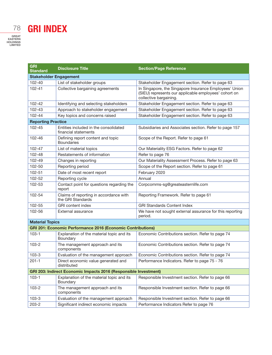# GRI INDEX

78

| <b>GRI</b><br><b>Standard</b>                                      | <b>Disclosure Title</b>                                       | <b>Section/Page Reference</b>                                                                                                             |  |
|--------------------------------------------------------------------|---------------------------------------------------------------|-------------------------------------------------------------------------------------------------------------------------------------------|--|
| <b>Stakeholder Engagement</b>                                      |                                                               |                                                                                                                                           |  |
| 102-40                                                             | List of stakeholder groups                                    | Stakeholder Engagement section. Refer to page 63                                                                                          |  |
| 102-41                                                             | Collective bargaining agreements                              | In Singapore, the Singapore Insurance Employees' Union<br>(SIEU) represents our applicable employees' cohort on<br>collective bargaining. |  |
| $102 - 42$                                                         | Identifying and selecting stakeholders                        | Stakeholder Engagement section. Refer to page 63                                                                                          |  |
| 102-43                                                             | Approach to stakeholder engagement                            | Stakeholder Engagement section. Refer to page 63                                                                                          |  |
| 102-44                                                             | Key topics and concerns raised                                | Stakeholder Engagement section. Refer to page 63                                                                                          |  |
| <b>Reporting Practice</b>                                          |                                                               |                                                                                                                                           |  |
| 102-45                                                             | Entities included in the consolidated<br>financial statements | Subsidiaries and Associates section. Refer to page 157                                                                                    |  |
| 102-46                                                             | Defining report content and topic<br><b>Boundaries</b>        | Scope of the Report. Refer to page 61                                                                                                     |  |
| 102-47                                                             | List of material topics                                       | Our Materiality ESG Factors. Refer to page 62                                                                                             |  |
| $102 - 48$                                                         | Restatements of information                                   | Refer to page 76                                                                                                                          |  |
| 102-49                                                             | Changes in reporting                                          | Our Materiality Assessment Process. Refer to page 63                                                                                      |  |
| 102-50                                                             | Reporting period                                              | Scope of the Report section. Refer to page 61                                                                                             |  |
| 102-51                                                             | Date of most recent report                                    | February 2020                                                                                                                             |  |
| 102-52                                                             | Reporting cycle                                               | Annual                                                                                                                                    |  |
| 102-53                                                             | Contact point for questions regarding the<br>report           | Corpcomms-sg@greateasternlife.com                                                                                                         |  |
| 102-54                                                             | Claims of reporting in accordance with<br>the GRI Standards   | Reporting Framework. Refer to page 61                                                                                                     |  |
| 102-55                                                             | <b>GRI</b> content index                                      | <b>GRI Standards Content Index</b>                                                                                                        |  |
| 102-56                                                             | External assurance                                            | We have not sought external assurance for this reporting<br>period.                                                                       |  |
| <b>Material Topics</b>                                             |                                                               |                                                                                                                                           |  |
| <b>GRI 201: Economic Performance 2016 (Economic Contributions)</b> |                                                               |                                                                                                                                           |  |
| $103 - 1$                                                          | Explanation of the material topic and its<br>Boundary         | Economic Contributions section. Refer to page 74                                                                                          |  |
| $103 - 2$                                                          | The management approach and its<br>components                 | Economic Contributions section. Refer to page 74                                                                                          |  |
| $103 - 3$                                                          | Evaluation of the management approach                         | Economic Contributions section. Refer to page 74                                                                                          |  |
| $201 - 1$                                                          | Direct economic value generated and<br>distributed            | Performance Indicators. Refer to page 75 - 76                                                                                             |  |
| GRI 203: Indirect Economic Impacts 2016 (Responsible Investment)   |                                                               |                                                                                                                                           |  |
| $103-1$                                                            | Explanation of the material topic and its<br>Boundary         | Responsible Investment section. Refer to page 66                                                                                          |  |
| $103 - 2$                                                          | The management approach and its<br>components                 | Responsible Investment section. Refer to page 66                                                                                          |  |
| $103 - 3$                                                          | Evaluation of the management approach                         | Responsible Investment section. Refer to page 66                                                                                          |  |
| 203-2                                                              | Significant indirect economic impacts                         | Performance Indicators Refer to page 76                                                                                                   |  |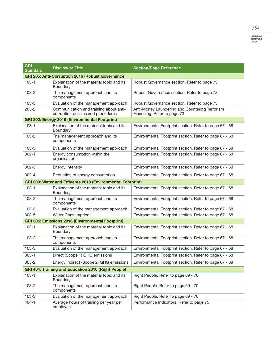| <b>GRI</b><br><b>Standard</b>                               | <b>Disclosure Title</b>                                                      | <b>Section/Page Reference</b>                                                 |  |
|-------------------------------------------------------------|------------------------------------------------------------------------------|-------------------------------------------------------------------------------|--|
|                                                             | <b>GRI 205: Anti-Corruption 2016 (Robust Governance)</b>                     |                                                                               |  |
| $103 - 1$                                                   | Explanation of the material topic and its<br>Boundary                        | Robust Governance section. Refer to page 73                                   |  |
| $103 - 2$                                                   | The management approach and its<br>components                                | Robust Governance section. Refer to page 73                                   |  |
| $103 - 3$                                                   | Evaluation of the management approach                                        | Robust Governance section. Refer to page 73                                   |  |
| $205 - 2$                                                   | Communication and training about anti-<br>corruption policies and procedures | Anti-Money Laundering and Countering Terrorism<br>Financing. Refer to page 73 |  |
|                                                             | GRI 302: Energy 2016 (Environmental Footprint)                               |                                                                               |  |
| $103 - 1$                                                   | Explanation of the material topic and its<br>Boundary                        | Environmental Footprint section. Refer to page 67 - 68                        |  |
| 103-2                                                       | The management approach and its<br>components                                | Environmental Footprint section. Refer to page 67 - 68                        |  |
| $103 - 3$                                                   | Evaluation of the management approach                                        | Environmental Footprint section. Refer to page 67 - 68                        |  |
| $302 - 1$                                                   | Energy consumption within the<br>organisation                                | Environmental Footprint section. Refer to page 67 - 68                        |  |
| $302 - 3$                                                   | Energy Intensity                                                             | Environmental Footprint section. Refer to page 67 - 68                        |  |
| $302 - 4$                                                   | Reduction of energy consumption                                              | Environmental Footprint section. Refer to page 67 - 68                        |  |
| GRI 303: Water and Effluents 2018 (Environmental Footprint) |                                                                              |                                                                               |  |
| $103 - 1$                                                   | Explanation of the material topic and its<br>Boundary                        | Environmental Footprint section. Refer to page 67 - 68                        |  |
| $103 - 2$                                                   | The management approach and its<br>components                                | Environmental Footprint section. Refer to page 67 - 68                        |  |
| $103 - 3$                                                   | Evaluation of the management approach                                        | Environmental Footprint section. Refer to page 67 - 68                        |  |
| $303 - 5$                                                   | <b>Water Consumption</b>                                                     | Environmental Footprint section. Refer to page 67 - 68                        |  |
| <b>GRI 305: Emissions 2016 (Environmental Footprint)</b>    |                                                                              |                                                                               |  |
| $103 - 1$                                                   | Explanation of the material topic and its<br>Boundary                        | Environmental Footprint section. Refer to page 67 - 68                        |  |
| $103 - 2$                                                   | The management approach and its<br>components                                | Environmental Footprint section. Refer to page 67 - 68                        |  |
| $103 - 3$                                                   | Evaluation of the management approach                                        | Environmental Footprint section. Refer to page 67 - 68                        |  |
| $305 - 1$                                                   | Direct (Scope 1) GHG emissions                                               | Environmental Footprint section. Refer to page 67 - 68                        |  |
| $305 - 2$                                                   | Energy indirect (Scope 2) GHG emissions                                      | Environmental Footprint section. Refer to page 67 - 68                        |  |
| <b>GRI 404: Training and Education 2016 (Right People)</b>  |                                                                              |                                                                               |  |
| $103 - 1$                                                   | Explanation of the material topic and its<br>Boundary                        | Right People. Refer to page 69 - 70                                           |  |
| $103 - 2$                                                   | The management approach and its<br>components                                | Right People. Refer to page 69 - 70                                           |  |
| $103 - 3$                                                   | Evaluation of the management approach                                        | Right People. Refer to page 69 - 70                                           |  |
| $404 - 1$                                                   | Average hours of training per year per<br>employee                           | Performance Indicators. Refer to page 75                                      |  |